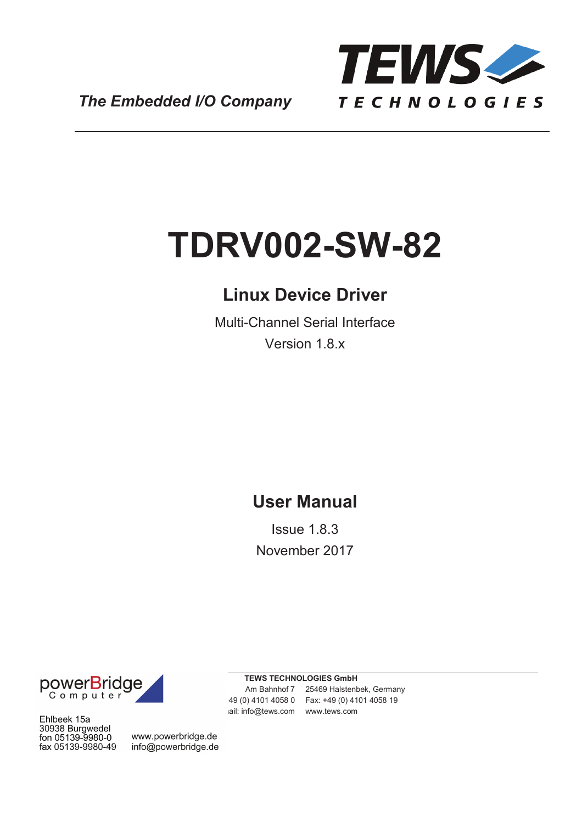

*The Embedded I/O Company*

# **TDRV002-SW-82**

### **Linux Device Driver**

Multi-Channel Serial Interface Version 1.8.x

### **User Manual**

Issue 1.8.3 November 2017



Ehlbeek 15a 30938 Burgwedel fon 05139-9980-0 fax 05139-9980-49

www.powerbridge.de info@powerbridge.de **TEWS TECHNOLOGIES GmbH**

ail: info@tews.com www.tews.com

Am Bahnhof 7 25469 Halstenbek, Germany Phone: +49 (0) 4101 4058 0 Fax: +49 (0) 4101 4058 19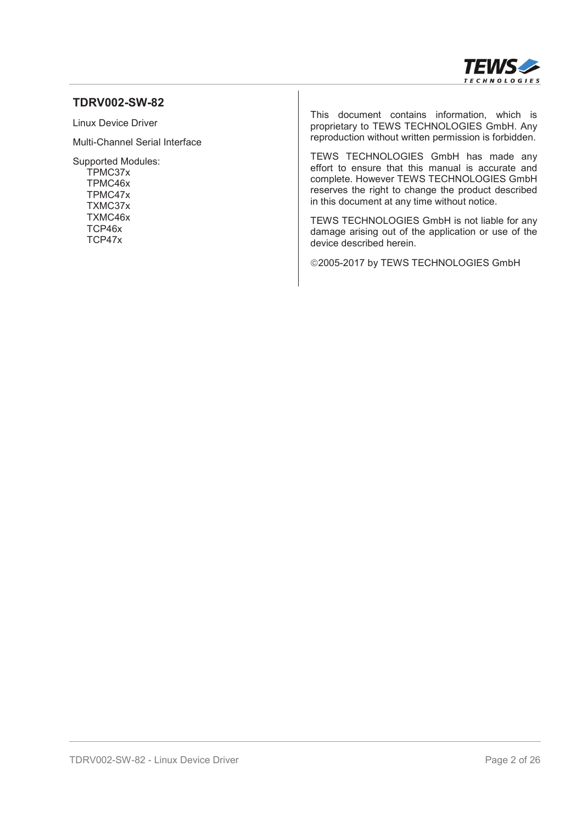

#### **TDRV002-SW-82**

Linux Device Driver

Multi-Channel Serial Interface

Supported Modules: TPMC37x TPMC46x TPMC47x TXMC37x TXMC46x TCP46x TCP47x

This document contains information, which is proprietary to TEWS TECHNOLOGIES GmbH. Any reproduction without written permission is forbidden.

TEWS TECHNOLOGIES GmbH has made any effort to ensure that this manual is accurate and complete. However TEWS TECHNOLOGIES GmbH reserves the right to change the product described in this document at any time without notice.

TEWS TECHNOLOGIES GmbH is not liable for any damage arising out of the application or use of the device described herein.

©2005-2017 by TEWS TECHNOLOGIES GmbH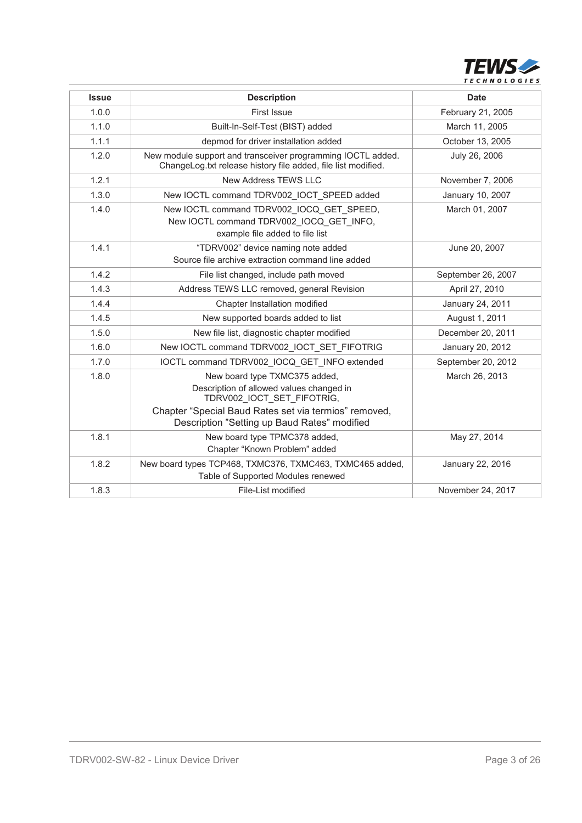

| <b>Issue</b> | <b>Description</b>                                                                                                                                                                                               | <b>Date</b>        |
|--------------|------------------------------------------------------------------------------------------------------------------------------------------------------------------------------------------------------------------|--------------------|
| 1.0.0        | First Issue                                                                                                                                                                                                      | February 21, 2005  |
| 1.1.0        | Built-In-Self-Test (BIST) added                                                                                                                                                                                  | March 11, 2005     |
| 1.1.1        | depmod for driver installation added                                                                                                                                                                             | October 13, 2005   |
| 1.2.0        | New module support and transceiver programming IOCTL added.<br>ChangeLog.txt release history file added, file list modified.                                                                                     | July 26, 2006      |
| 1.2.1        | New Address TEWS LLC                                                                                                                                                                                             | November 7, 2006   |
| 1.3.0        | New IOCTL command TDRV002_IOCT_SPEED added                                                                                                                                                                       | January 10, 2007   |
| 1.4.0        | New IOCTL command TDRV002 IOCQ GET SPEED,<br>New IOCTL command TDRV002_IOCQ_GET_INFO,<br>example file added to file list                                                                                         | March 01, 2007     |
| 1.4.1        | "TDRV002" device naming note added<br>Source file archive extraction command line added                                                                                                                          | June 20, 2007      |
| 1.4.2        | File list changed, include path moved                                                                                                                                                                            | September 26, 2007 |
| 1.4.3        | Address TEWS LLC removed, general Revision                                                                                                                                                                       | April 27, 2010     |
| 1.4.4        | Chapter Installation modified                                                                                                                                                                                    | January 24, 2011   |
| 1.4.5        | New supported boards added to list                                                                                                                                                                               | August 1, 2011     |
| 1.5.0        | New file list, diagnostic chapter modified                                                                                                                                                                       | December 20, 2011  |
| 1.6.0        | New IOCTL command TDRV002_IOCT_SET_FIFOTRIG                                                                                                                                                                      | January 20, 2012   |
| 1.7.0        | IOCTL command TDRV002 IOCQ GET INFO extended                                                                                                                                                                     | September 20, 2012 |
| 1.8.0        | New board type TXMC375 added,<br>Description of allowed values changed in<br>TDRV002_IOCT_SET_FIFOTRIG,<br>Chapter "Special Baud Rates set via termios" removed,<br>Description "Setting up Baud Rates" modified | March 26, 2013     |
| 1.8.1        | New board type TPMC378 added,<br>Chapter "Known Problem" added                                                                                                                                                   | May 27, 2014       |
| 1.8.2        | New board types TCP468, TXMC376, TXMC463, TXMC465 added,<br>Table of Supported Modules renewed                                                                                                                   | January 22, 2016   |
| 1.8.3        | File-List modified                                                                                                                                                                                               | November 24, 2017  |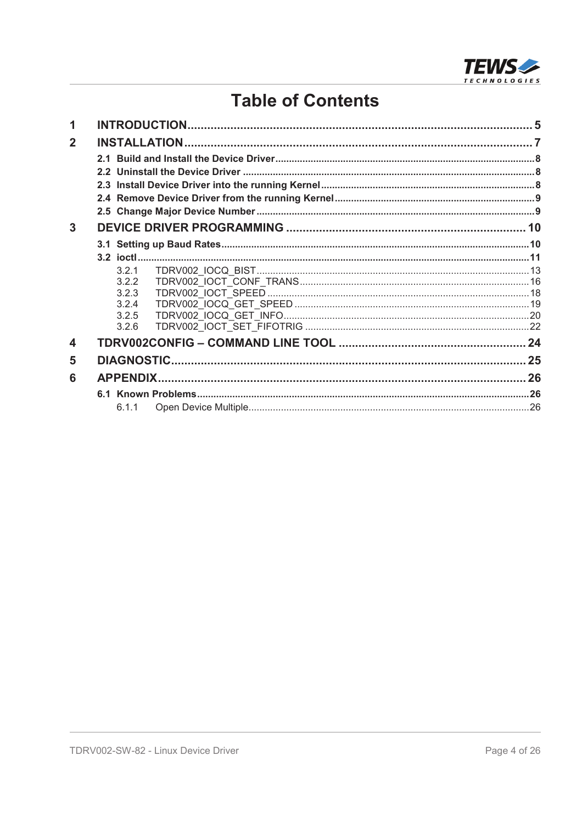

### **Table of Contents**

| $\overline{2}$<br>3<br>3.2.1<br>3.2.2<br>3.2.3<br>3.2.4<br>3.2.5<br>3.2.6<br>4<br>5<br>6 |
|------------------------------------------------------------------------------------------|
|                                                                                          |
|                                                                                          |
|                                                                                          |
|                                                                                          |
|                                                                                          |
|                                                                                          |
|                                                                                          |
|                                                                                          |
|                                                                                          |
|                                                                                          |
|                                                                                          |
|                                                                                          |
|                                                                                          |
|                                                                                          |
|                                                                                          |
|                                                                                          |
|                                                                                          |
|                                                                                          |
|                                                                                          |
| 6.1.1                                                                                    |
|                                                                                          |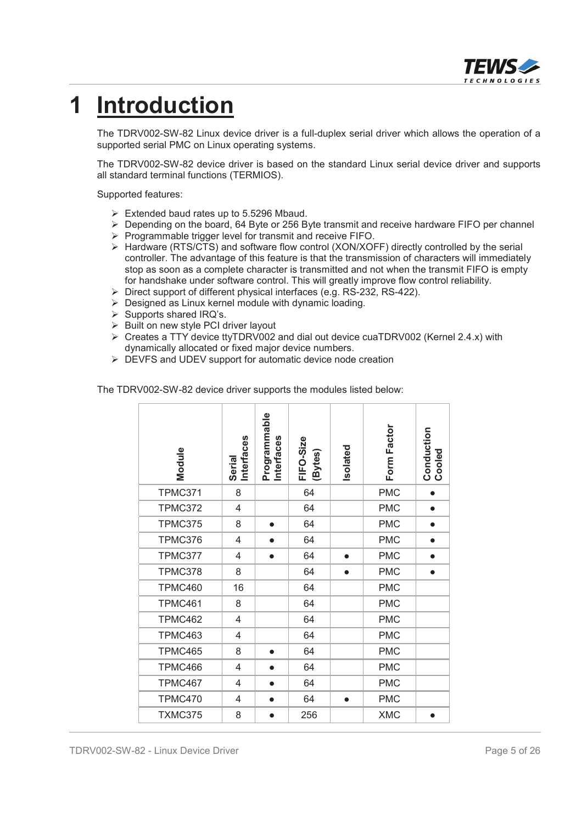

## **1 Introduction**

The TDRV002-SW-82 Linux device driver is a full-duplex serial driver which allows the operation of a supported serial PMC on Linux operating systems.

The TDRV002-SW-82 device driver is based on the standard Linux serial device driver and supports all standard terminal functions (TERMIOS).

Supported features:

- $\triangleright$  Extended baud rates up to 5.5296 Mbaud.
- $\triangleright$  Depending on the board, 64 Byte or 256 Byte transmit and receive hardware FIFO per channel
- $\triangleright$  Programmable trigger level for transmit and receive FIFO.
- ¾ Hardware (RTS/CTS) and software flow control (XON/XOFF) directly controlled by the serial controller. The advantage of this feature is that the transmission of characters will immediately stop as soon as a complete character is transmitted and not when the transmit FIFO is empty for handshake under software control. This will greatly improve flow control reliability.
- ¾ Direct support of different physical interfaces (e.g. RS-232, RS-422).
- $\triangleright$  Designed as Linux kernel module with dynamic loading.
- $\triangleright$  Supports shared IRQ's.
- $\triangleright$  Built on new style PCI driver layout
- $\triangleright$  Creates a TTY device ttyTDRV002 and dial out device cuaTDRV002 (Kernel 2.4.x) with dynamically allocated or fixed major device numbers.
- ¾ DEVFS and UDEV support for automatic device node creation

The TDRV002-SW-82 device driver supports the modules listed below:

| Module         | <b>Interfaces</b><br>Serial | Programmable<br>Interfaces | FIFO-Size<br>(Bytes) | Isolated  | Form Factor | <b>Conduction</b><br>Cooled |
|----------------|-----------------------------|----------------------------|----------------------|-----------|-------------|-----------------------------|
| TPMC371        | 8                           |                            | 64                   |           | <b>PMC</b>  |                             |
| <b>TPMC372</b> | 4                           |                            | 64                   |           | <b>PMC</b>  | $\bullet$                   |
| TPMC375        | 8                           | $\bullet$                  | 64                   |           | <b>PMC</b>  | $\bullet$                   |
| TPMC376        | 4                           | $\bullet$                  | 64                   |           | <b>PMC</b>  | $\bullet$                   |
| TPMC377        | 4                           | $\bullet$                  | 64                   |           | <b>PMC</b>  | $\bullet$                   |
| TPMC378        | 8                           |                            | 64                   | $\bullet$ | <b>PMC</b>  | $\bullet$                   |
| TPMC460        | 16                          |                            | 64                   |           | <b>PMC</b>  |                             |
| TPMC461        | 8                           |                            | 64                   |           | <b>PMC</b>  |                             |
| TPMC462        | 4                           |                            | 64                   |           | <b>PMC</b>  |                             |
| TPMC463        | 4                           |                            | 64                   |           | <b>PMC</b>  |                             |
| TPMC465        | 8                           | $\bullet$                  | 64                   |           | <b>PMC</b>  |                             |
| TPMC466        | 4                           | $\bullet$                  | 64                   |           | <b>PMC</b>  |                             |
| TPMC467        | 4                           | $\bullet$                  | 64                   |           | <b>PMC</b>  |                             |
| TPMC470        | 4                           | $\bullet$                  | 64                   | $\bullet$ | <b>PMC</b>  |                             |
| TXMC375        | 8                           |                            | 256                  |           | <b>XMC</b>  | $\bullet$                   |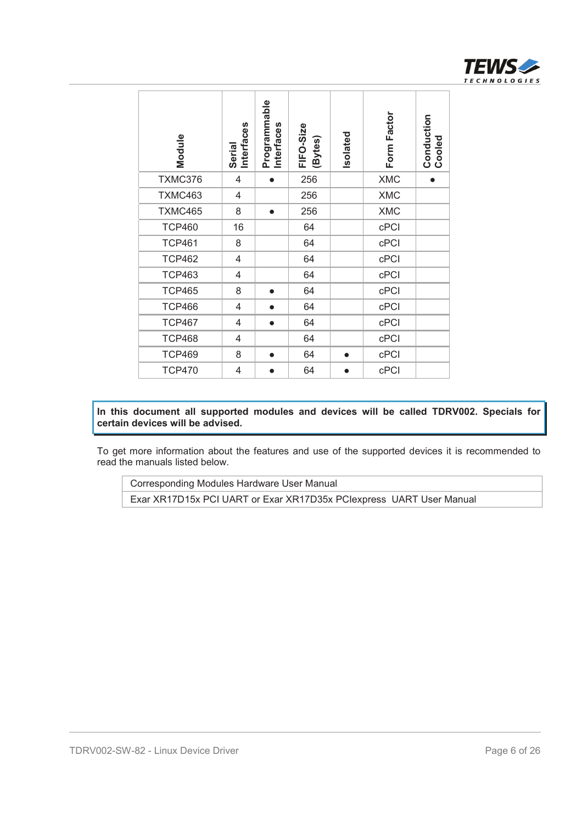

| Module                                                                                                                                                                                                                          | <b>Interfaces</b><br>Serial | Programmable<br>Interfaces | FIFO-Size<br>(Bytes) | Isolated  | Form Factor | <b>Conduction</b><br>Cooled |  |
|---------------------------------------------------------------------------------------------------------------------------------------------------------------------------------------------------------------------------------|-----------------------------|----------------------------|----------------------|-----------|-------------|-----------------------------|--|
| TXMC376                                                                                                                                                                                                                         | $\overline{4}$              | $\bullet$                  | 256                  |           | <b>XMC</b>  | $\bullet$                   |  |
| TXMC463                                                                                                                                                                                                                         | 4                           |                            | 256                  |           | <b>XMC</b>  |                             |  |
| TXMC465                                                                                                                                                                                                                         | 8                           | $\bullet$                  | 256                  |           | <b>XMC</b>  |                             |  |
| <b>TCP460</b>                                                                                                                                                                                                                   | 16                          |                            | 64                   |           | cPCI        |                             |  |
| <b>TCP461</b>                                                                                                                                                                                                                   | 8                           |                            | 64                   |           | cPCI        |                             |  |
| <b>TCP462</b>                                                                                                                                                                                                                   | $\overline{4}$              |                            | 64                   |           | cPCI        |                             |  |
| <b>TCP463</b>                                                                                                                                                                                                                   | 4                           |                            | 64                   |           | cPCI        |                             |  |
| <b>TCP465</b>                                                                                                                                                                                                                   | 8                           | $\bullet$                  | 64                   |           | cPCI        |                             |  |
| <b>TCP466</b>                                                                                                                                                                                                                   | 4                           | $\bullet$                  | 64                   |           | cPCI        |                             |  |
| <b>TCP467</b>                                                                                                                                                                                                                   | 4                           | $\bullet$                  | 64                   |           | cPCI        |                             |  |
| <b>TCP468</b>                                                                                                                                                                                                                   | 4                           |                            | 64                   |           | cPCI        |                             |  |
| <b>TCP469</b>                                                                                                                                                                                                                   | 8                           | $\bullet$                  | 64                   | $\bullet$ | cPCI        |                             |  |
| <b>TCP470</b>                                                                                                                                                                                                                   | 4                           | $\bullet$                  | 64                   | $\bullet$ | cPCI        |                             |  |
| In this document all supported modules and devices will be called TDRV002. Specials for<br>certain devices will be advised.<br>To get more information about the features and use of the supported devices it is recommended to |                             |                            |                      |           |             |                             |  |
| read the manuals listed below.                                                                                                                                                                                                  |                             |                            |                      |           |             |                             |  |
| Corresponding Modules Hardware User Manual<br>Exar XR17D15x PCI UART or Exar XR17D35x PClexpress UART User Manual                                                                                                               |                             |                            |                      |           |             |                             |  |
|                                                                                                                                                                                                                                 |                             |                            |                      |           |             |                             |  |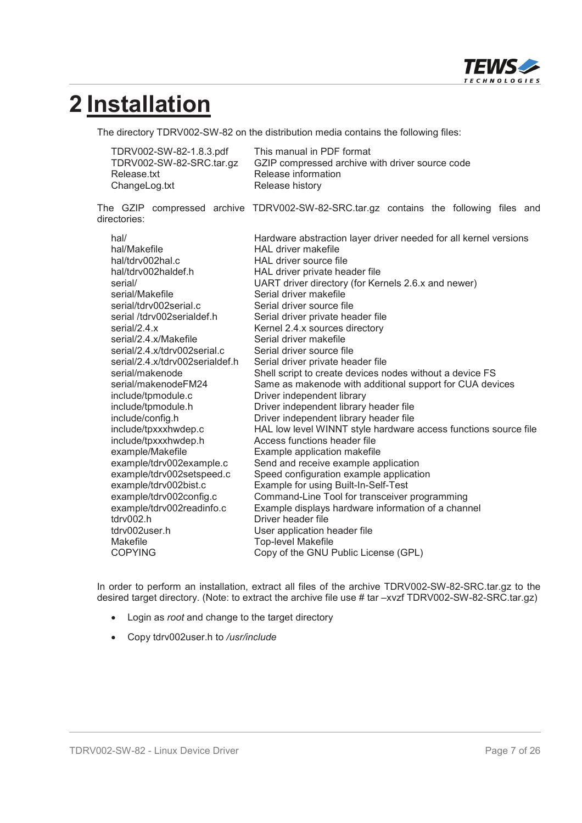

## **2 Installation**

The directory TDRV002-SW-82 on the distribution media contains the following files:

| TDRV002-SW-82-1.8.3.pdf  | This manual in PDF format                       |
|--------------------------|-------------------------------------------------|
| TDRV002-SW-82-SRC.tar.gz | GZIP compressed archive with driver source code |
| Release.txt              | Release information                             |
| ChangeLog.txt            | Release history                                 |

The GZIP compressed archive TDRV002-SW-82-SRC.tar.gz contains the following files and directories:

| hal/                            | Hardware abstraction layer driver needed for all kernel versions |
|---------------------------------|------------------------------------------------------------------|
| hal/Makefile                    | HAL driver makefile                                              |
| hal/tdrv002hal.c                | HAL driver source file                                           |
| hal/tdrv002haldef.h             | HAL driver private header file                                   |
| serial/                         | UART driver directory (for Kernels 2.6.x and newer)              |
| serial/Makefile                 | Serial driver makefile                                           |
| serial/tdrv002serial.c          | Serial driver source file                                        |
| serial/tdrv002serialdef.h       | Serial driver private header file                                |
| serial/2.4 $x$                  | Kernel 2.4.x sources directory                                   |
| serial/2.4.x/Makefile           | Serial driver makefile                                           |
| serial/2.4.x/tdrv002serial.c    | Serial driver source file                                        |
| serial/2.4.x/tdrv002serialdef.h | Serial driver private header file                                |
| serial/makenode                 | Shell script to create devices nodes without a device FS         |
| serial/makenodeFM24             | Same as makenode with additional support for CUA devices         |
| include/tpmodule.c              | Driver independent library                                       |
| include/tpmodule.h              | Driver independent library header file                           |
| include/config.h                | Driver independent library header file                           |
| include/tpxxxhwdep.c            | HAL low level WINNT style hardware access functions source file  |
| include/tpxxxhwdep.h            | Access functions header file                                     |
| example/Makefile                | Example application makefile                                     |
| example/tdrv002example.c        | Send and receive example application                             |
| example/tdrv002setspeed.c       | Speed configuration example application                          |
| example/tdrv002bist.c           | Example for using Built-In-Self-Test                             |
| example/tdrv002config.c         | Command-Line Tool for transceiver programming                    |
| example/tdrv002readinfo.c       | Example displays hardware information of a channel               |
| tdrv002.h                       | Driver header file                                               |
| tdrv002user.h                   | User application header file                                     |
| Makefile                        | <b>Top-level Makefile</b>                                        |
| <b>COPYING</b>                  | Copy of the GNU Public License (GPL)                             |
|                                 |                                                                  |

In order to perform an installation, extract all files of the archive TDRV002-SW-82-SRC.tar.gz to the desired target directory. (Note: to extract the archive file use # tar –xvzf TDRV002-SW-82-SRC.tar.gz)

- **•** Login as *root* and change to the target directory
- x Copy tdrv002user.h to */usr/include*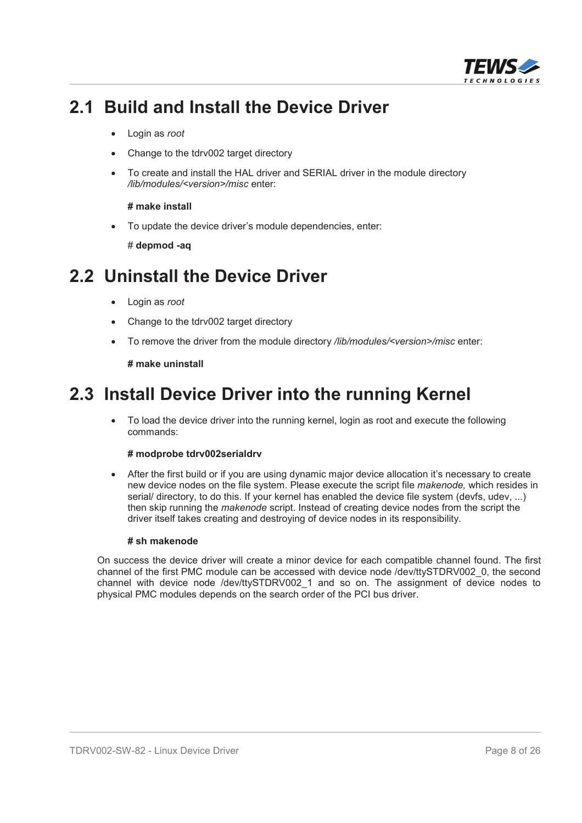

### **2.1 Build and Install the Device Driver**

- x Login as *root*
- x Change to the tdrv002 target directory
- To create and install the HAL driver and SERIAL driver in the module directory */lib/modules/<version>/misc* enter:

#### **# make install**

To update the device driver's module dependencies, enter:

# **depmod -aq**

### **2.2 Uninstall the Device Driver**

- Login as *root*
- Change to the tdrv002 target directory
- To remove the driver from the module directory */lib/modules/<version>/misc* enter:

#### **# make uninstall**

### **2.3 Install Device Driver into the running Kernel**

• To load the device driver into the running kernel, login as root and execute the following commands:

#### **# modprobe tdrv002serialdrv**

After the first build or if you are using dynamic major device allocation it's necessary to create new device nodes on the file system. Please execute the script file *makenode,* which resides in serial/ directory, to do this. If your kernel has enabled the device file system (devfs, udev, ...) then skip running the *makenode* script. Instead of creating device nodes from the script the driver itself takes creating and destroying of device nodes in its responsibility.

#### **# sh makenode**

On success the device driver will create a minor device for each compatible channel found. The first channel of the first PMC module can be accessed with device node /dev/ttySTDRV002\_0, the second channel with device node /dev/ttySTDRV002\_1 and so on. The assignment of device nodes to physical PMC modules depends on the search order of the PCI bus driver.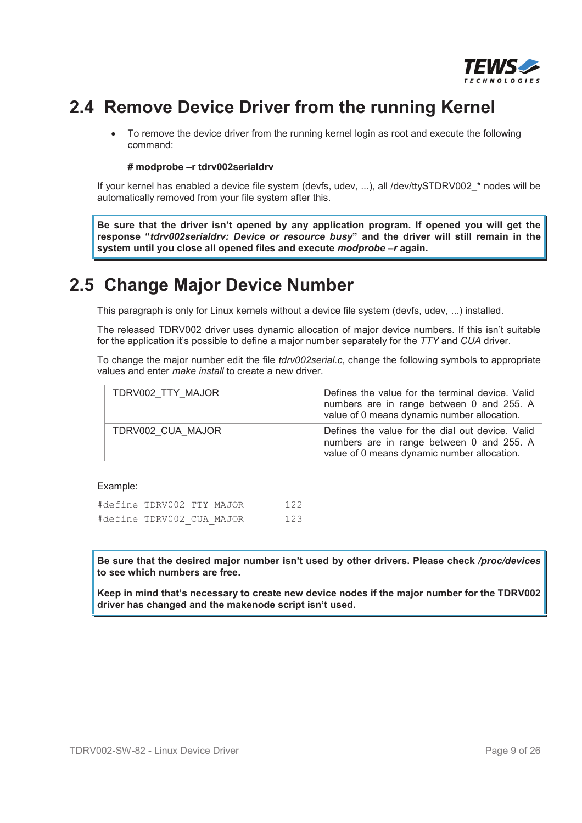

### **2.4 Remove Device Driver from the running Kernel**

• To remove the device driver from the running kernel login as root and execute the following command:

#### **# modprobe –r tdrv002serialdrv**

If your kernel has enabled a device file system (devfs, udev, ...), all /dev/ttySTDRV002\_\* nodes will be automatically removed from your file system after this.

**Be sure that the driver isn't opened by any application program. If opened you will get the response "***tdrv002serialdrv: Device or resource busy***" and the driver will still remain in the system until you close all opened files and execute** *modprobe –r* **again.**

### **2.5 Change Major Device Number**

This paragraph is only for Linux kernels without a device file system (devfs, udev, ...) installed.

The released TDRV002 driver uses dynamic allocation of major device numbers. If this isn't suitable for the application it's possible to define a major number separately for the *TTY* and *CUA* driver.

To change the major number edit the file *tdrv002serial.c*, change the following symbols to appropriate values and enter *make install* to create a new driver.

| TDRV002 TTY MAJOR | Defines the value for the terminal device. Valid<br>numbers are in range between 0 and 255. A<br>value of 0 means dynamic number allocation. |
|-------------------|----------------------------------------------------------------------------------------------------------------------------------------------|
| TDRV002 CUA MAJOR | Defines the value for the dial out device. Valid<br>numbers are in range between 0 and 255. A<br>value of 0 means dynamic number allocation. |

#### Example:

| #define TDRV002 TTY MAJOR |  | 122 |
|---------------------------|--|-----|
| #define TDRV002 CUA MAJOR |  | 123 |

**Be sure that the desired major number isn't used by other drivers. Please check** */proc/devices* **to see which numbers are free.**

**Keep in mind that's necessary to create new device nodes if the major number for the TDRV002 driver has changed and the makenode script isn't used.**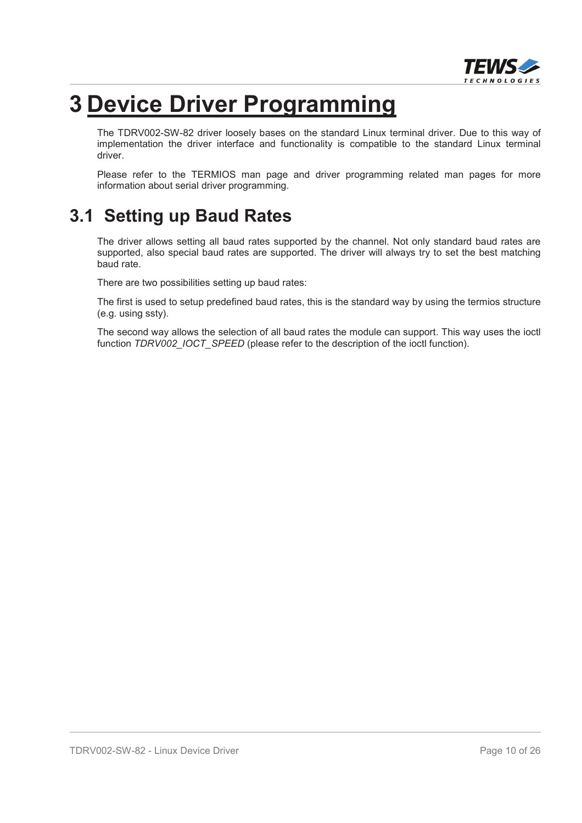

## **3 Device Driver Programming**

The TDRV002-SW-82 driver loosely bases on the standard Linux terminal driver. Due to this way of implementation the driver interface and functionality is compatible to the standard Linux terminal driver.

Please refer to the TERMIOS man page and driver programming related man pages for more information about serial driver programming.

### **3.1 Setting up Baud Rates**

The driver allows setting all baud rates supported by the channel. Not only standard baud rates are supported, also special baud rates are supported. The driver will always try to set the best matching baud rate.

There are two possibilities setting up baud rates:

The first is used to setup predefined baud rates, this is the standard way by using the termios structure (e.g. using ssty).

The second way allows the selection of all baud rates the module can support. This way uses the ioctl function *TDRV002\_IOCT\_SPEED* (please refer to the description of the ioctl function).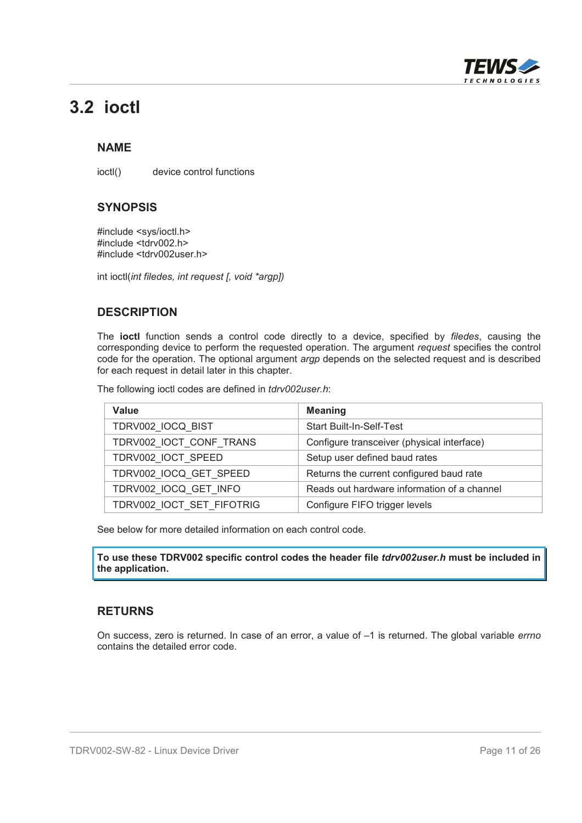

### **3.2 ioctl**

#### **NAME**

ioctl() device control functions

#### **SYNOPSIS**

#include <sys/ioctl.h> #include <tdrv002.h> #include <tdrv002user.h>

int ioctl(*int filedes, int request [, void \*argp])*

#### **DESCRIPTION**

The **ioctl** function sends a control code directly to a device, specified by *filedes*, causing the corresponding device to perform the requested operation. The argument *request* specifies the control code for the operation. The optional argument *argp* depends on the selected request and is described for each request in detail later in this chapter.

The following ioctl codes are defined in *tdrv002user.h*:

| Value                     | <b>Meaning</b>                              |
|---------------------------|---------------------------------------------|
| TDRV002 IOCQ BIST         | <b>Start Built-In-Self-Test</b>             |
| TDRV002_IOCT_CONF_TRANS   | Configure transceiver (physical interface)  |
| TDRV002 IOCT SPEED        | Setup user defined baud rates               |
| TDRV002 IOCQ GET SPEED    | Returns the current configured baud rate    |
| TDRV002 IOCQ GET INFO     | Reads out hardware information of a channel |
| TDRV002 IOCT SET FIFOTRIG | Configure FIFO trigger levels               |

See below for more detailed information on each control code.

**To use these TDRV002 specific control codes the header file** *tdrv002user.h* **must be included in the application.**

#### **RETURNS**

On success, zero is returned. In case of an error, a value of –1 is returned. The global variable *errno* contains the detailed error code.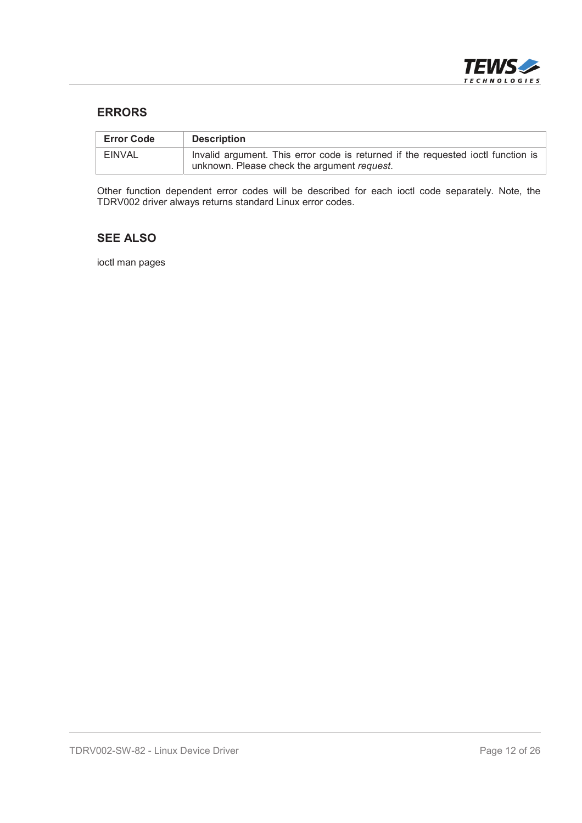

#### **ERRORS**

| <b>Error Code</b> | <b>Description</b>                                                                                                              |
|-------------------|---------------------------------------------------------------------------------------------------------------------------------|
| <b>EINVAL</b>     | Invalid argument. This error code is returned if the requested ioctl function is<br>unknown. Please check the argument request. |

Other function dependent error codes will be described for each ioctl code separately. Note, the TDRV002 driver always returns standard Linux error codes.

#### **SEE ALSO**

ioctl man pages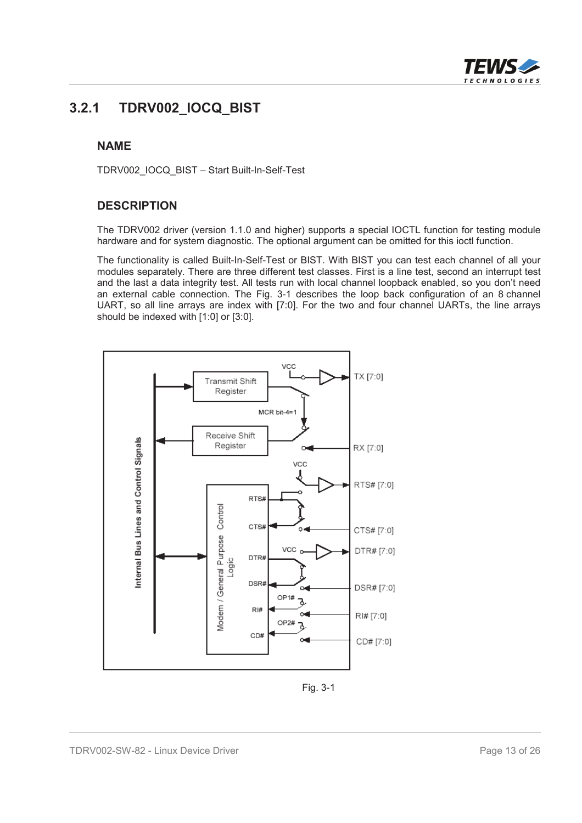

#### **3.2.1 TDRV002\_IOCQ\_BIST**

#### **NAME**

TDRV002\_IOCQ\_BIST – Start Built-In-Self-Test

#### **DESCRIPTION**

The TDRV002 driver (version 1.1.0 and higher) supports a special IOCTL function for testing module hardware and for system diagnostic. The optional argument can be omitted for this ioctl function.

The functionality is called Built-In-Self-Test or BIST. With BIST you can test each channel of all your modules separately. There are three different test classes. First is a line test, second an interrupt test and the last a data integrity test. All tests run with local channel loopback enabled, so you don't need an external cable connection. The Fig. 3-1 describes the loop back configuration of an 8 channel UART, so all line arrays are index with [7:0]. For the two and four channel UARTs, the line arrays should be indexed with [1:0] or [3:0].



Fig. 3-1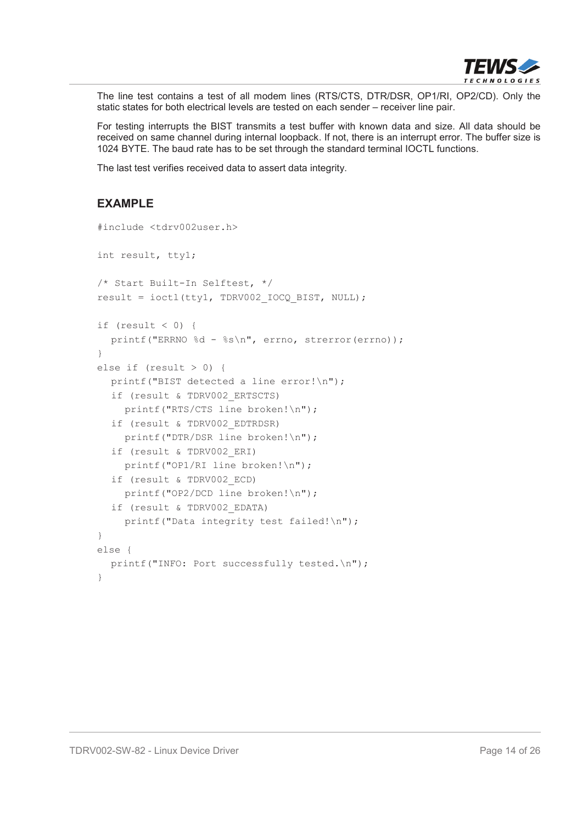

The line test contains a test of all modem lines (RTS/CTS, DTR/DSR, OP1/RI, OP2/CD). Only the static states for both electrical levels are tested on each sender – receiver line pair.

For testing interrupts the BIST transmits a test buffer with known data and size. All data should be received on same channel during internal loopback. If not, there is an interrupt error. The buffer size is 1024 BYTE. The baud rate has to be set through the standard terminal IOCTL functions.

The last test verifies received data to assert data integrity.

```
#include <tdrv002user.h>
int result, tty1;
/* Start Built-In Selftest, */
result = ioctl(tty1, TDRV002 IOCQ BIST, NULL);
if (result < 0) {
  printf("ERRNO %d - %s\n", errno, strerror(errno));
}
else if (result > 0) {
  printf("BIST detected a line error!\n");
  if (result & TDRV002_ERTSCTS)
    printf("RTS/CTS line broken!\n");
  if (result & TDRV002_EDTRDSR)
    printf("DTR/DSR line broken!\n");
  if (result & TDRV002_ERI)
    printf("OP1/RI line broken!\n");
  if (result & TDRV002_ECD)
    printf("OP2/DCD line broken!\n");
  if (result & TDRV002_EDATA)
    printf("Data integrity test failed!\n");
}
else {
  printf("INFO: Port successfully tested.\n");
}
```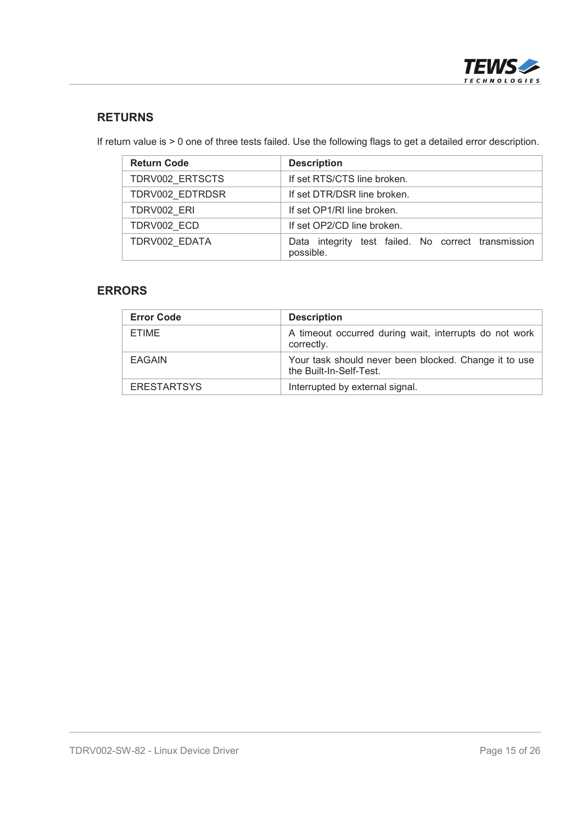

#### **RETURNS**

If return value is > 0 one of three tests failed. Use the following flags to get a detailed error description.

| <b>Return Code</b> | <b>Description</b>                                               |
|--------------------|------------------------------------------------------------------|
| TDRV002_ERTSCTS    | If set RTS/CTS line broken.                                      |
| TDRV002_EDTRDSR    | If set DTR/DSR line broken.                                      |
| TDRV002 ERI        | If set OP1/RI line broken.                                       |
| TDRV002 ECD        | If set OP2/CD line broken.                                       |
| TDRV002 EDATA      | Data integrity test failed. No correct transmission<br>possible. |

#### **ERRORS**

| <b>Error Code</b>  | <b>Description</b>                                                               |
|--------------------|----------------------------------------------------------------------------------|
| ETIME              | A timeout occurred during wait, interrupts do not work<br>correctly.             |
| <b>EAGAIN</b>      | Your task should never been blocked. Change it to use<br>the Built-In-Self-Test. |
| <b>ERESTARTSYS</b> | Interrupted by external signal.                                                  |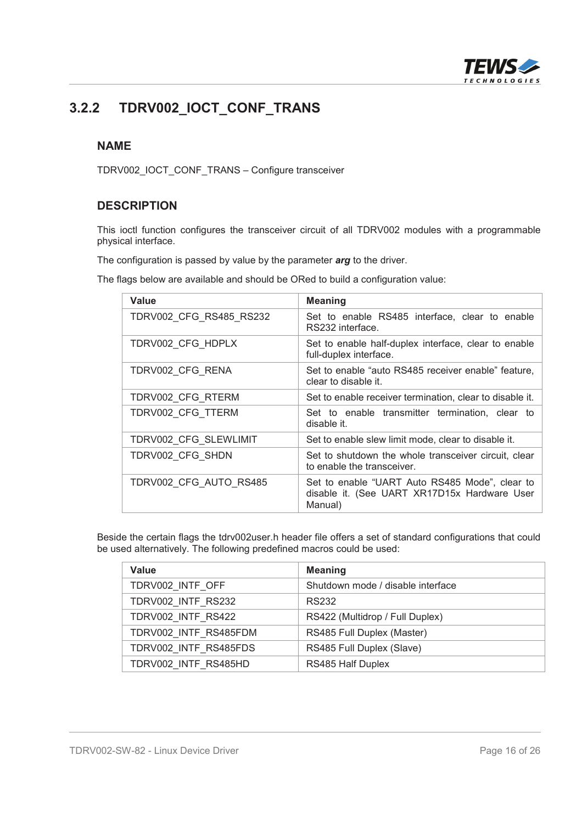

### **3.2.2 TDRV002\_IOCT\_CONF\_TRANS**

#### **NAME**

TDRV002\_IOCT\_CONF\_TRANS – Configure transceiver

#### **DESCRIPTION**

This ioctl function configures the transceiver circuit of all TDRV002 modules with a programmable physical interface.

The configuration is passed by value by the parameter *arg* to the driver.

The flags below are available and should be ORed to build a configuration value:

| <b>Value</b>            | <b>Meaning</b>                                                                                            |
|-------------------------|-----------------------------------------------------------------------------------------------------------|
| TDRV002 CFG RS485 RS232 | Set to enable RS485 interface, clear to enable<br>RS232 interface.                                        |
| TDRV002_CFG_HDPLX       | Set to enable half-duplex interface, clear to enable<br>full-duplex interface.                            |
| TDRV002 CFG RENA        | Set to enable "auto RS485 receiver enable" feature,<br>clear to disable it.                               |
| TDRV002 CFG RTERM       | Set to enable receiver termination, clear to disable it.                                                  |
| TDRV002 CFG TTERM       | Set to enable transmitter termination, clear to<br>disable it.                                            |
| TDRV002 CFG SLEWLIMIT   | Set to enable slew limit mode, clear to disable it.                                                       |
| TDRV002 CFG SHDN        | Set to shutdown the whole transceiver circuit, clear<br>to enable the transceiver.                        |
| TDRV002 CFG AUTO RS485  | Set to enable "UART Auto RS485 Mode", clear to<br>disable it. (See UART XR17D15x Hardware User<br>Manual) |

Beside the certain flags the tdrv002user.h header file offers a set of standard configurations that could be used alternatively. The following predefined macros could be used:

| <b>Value</b>          | <b>Meaning</b>                    |
|-----------------------|-----------------------------------|
| TDRV002_INTF_OFF      | Shutdown mode / disable interface |
| TDRV002 INTF RS232    | RS232                             |
| TDRV002 INTF RS422    | RS422 (Multidrop / Full Duplex)   |
| TDRV002 INTF RS485FDM | RS485 Full Duplex (Master)        |
| TDRV002 INTF RS485FDS | RS485 Full Duplex (Slave)         |
| TDRV002 INTF RS485HD  | RS485 Half Duplex                 |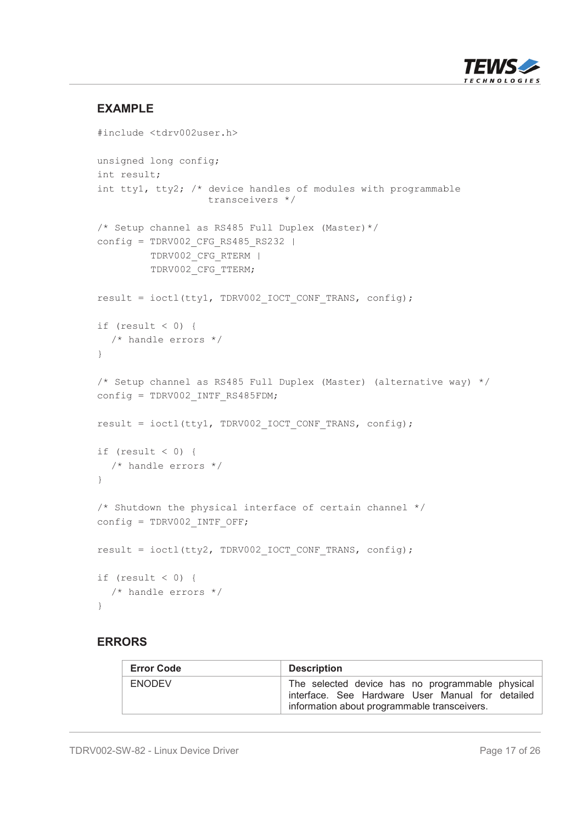

#### **EXAMPLE**

```
#include <tdrv002user.h>
unsigned long config;
int result;
int tty1, tty2; /* device handles of modules with programmable
                  transceivers */
/* Setup channel as RS485 Full Duplex (Master)*/
config = TDRV002 CFG RS485 RS232 |
         TDRV002_CFG_RTERM |
         TDRV002_CFG_TTERM;
result = ioctl(tty1, TDRV002 IOCT CONF TRANS, config);
if (result < 0) {
  /* handle errors */
}
/* Setup channel as RS485 Full Duplex (Master) (alternative way) */
config = TDRV002 INTF RS485FDM;
result = ioctl(tty1, TDRV002 IOCT CONF TRANS, config);
if (result < 0) {
  /* handle errors */
}
/* Shutdown the physical interface of certain channel */
config = TDRV002 INTF OFF;
result = ioctl(tty2, TDRV002 IOCT CONF TRANS, config);
if (result < 0) {
  /* handle errors */
}
```
#### **ERRORS**

| <b>Error Code</b> | <b>Description</b>                                                                                                                                   |
|-------------------|------------------------------------------------------------------------------------------------------------------------------------------------------|
| <b>ENODEV</b>     | The selected device has no programmable physical<br>interface. See Hardware User Manual for detailed<br>information about programmable transceivers. |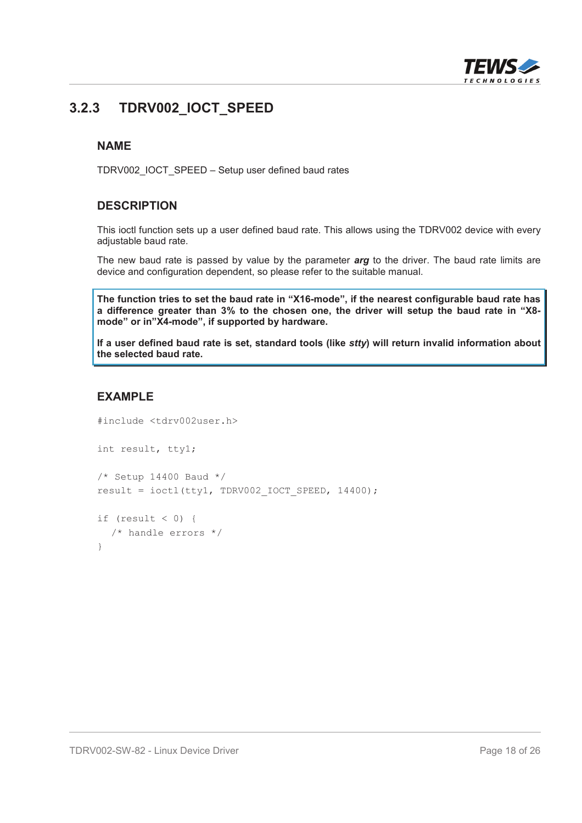

### **3.2.3 TDRV002\_IOCT\_SPEED**

#### **NAME**

TDRV002\_IOCT\_SPEED – Setup user defined baud rates

#### **DESCRIPTION**

This ioctl function sets up a user defined baud rate. This allows using the TDRV002 device with every adjustable baud rate.

The new baud rate is passed by value by the parameter *arg* to the driver. The baud rate limits are device and configuration dependent, so please refer to the suitable manual.

**The function tries to set the baud rate in "X16-mode", if the nearest configurable baud rate has a difference greater than 3% to the chosen one, the driver will setup the baud rate in "X8 mode" or in"X4-mode", if supported by hardware.**

**If a user defined baud rate is set, standard tools (like** *stty***) will return invalid information about the selected baud rate.**

```
#include <tdrv002user.h>
int result, tty1;
/* Setup 14400 Baud */result = ioctl(tty1, TDRV002 IOCT SPEED, 14400);
if (result < 0) {
  /* handle errors */
}
```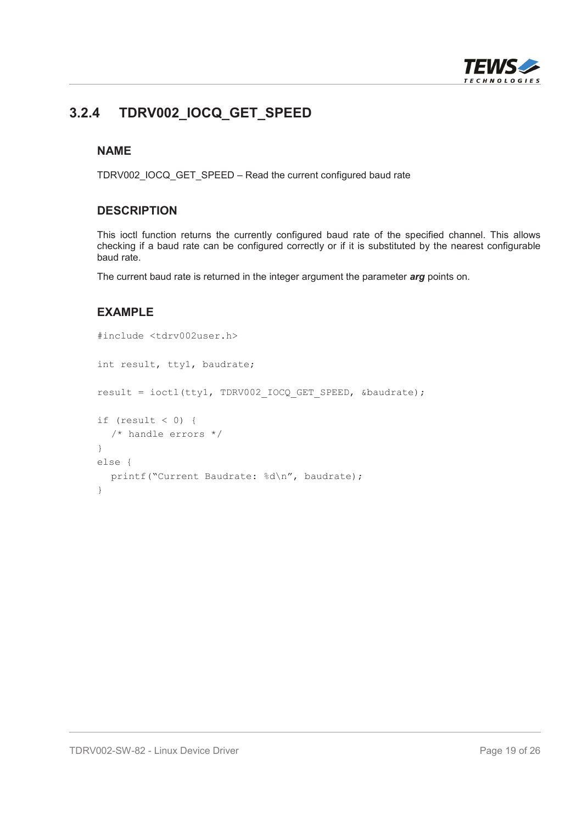

### **3.2.4 TDRV002\_IOCQ\_GET\_SPEED**

#### **NAME**

TDRV002\_IOCQ\_GET\_SPEED – Read the current configured baud rate

#### **DESCRIPTION**

This ioctl function returns the currently configured baud rate of the specified channel. This allows checking if a baud rate can be configured correctly or if it is substituted by the nearest configurable baud rate.

The current baud rate is returned in the integer argument the parameter *arg* points on.

```
#include <tdrv002user.h>
int result, tty1, baudrate;
result = ioctl(tty1, TDRV002 IOCQ GET SPEED, &baudrate);
if (result < 0) {
  /* handle errors */
}
else {
  printf("Current Baudrate: %d\n", baudrate);
}
```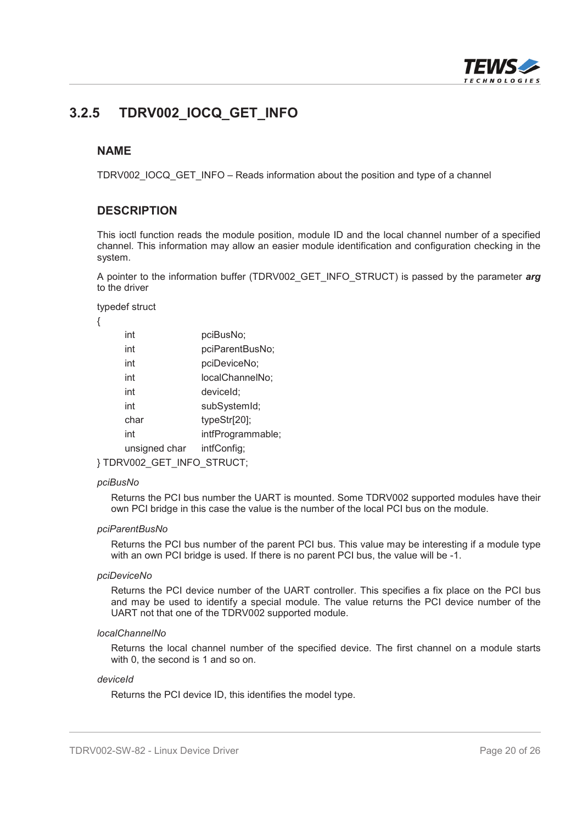

#### **3.2.5 TDRV002\_IOCQ\_GET\_INFO**

#### **NAME**

TDRV002\_IOCQ\_GET\_INFO – Reads information about the position and type of a channel

#### **DESCRIPTION**

This ioctl function reads the module position, module ID and the local channel number of a specified channel. This information may allow an easier module identification and configuration checking in the system.

A pointer to the information buffer (TDRV002\_GET\_INFO\_STRUCT) is passed by the parameter *arg* to the driver

typedef struct

{

| int                      | pciBusNo;         |  |
|--------------------------|-------------------|--|
| int                      | pciParentBusNo;   |  |
| int                      | pciDeviceNo;      |  |
| int                      | localChannelNo;   |  |
| int                      | deviceld;         |  |
| int                      | subSystemId;      |  |
| char                     | typeStr[20];      |  |
| int                      | intfProgrammable; |  |
| unsigned char            | intfConfig;       |  |
| TDRV002 GET INFO STRUCT; |                   |  |

#### *pciBusNo*

Returns the PCI bus number the UART is mounted. Some TDRV002 supported modules have their own PCI bridge in this case the value is the number of the local PCI bus on the module.

#### *pciParentBusNo*

Returns the PCI bus number of the parent PCI bus. This value may be interesting if a module type with an own PCI bridge is used. If there is no parent PCI bus, the value will be -1.

#### *pciDeviceNo*

Returns the PCI device number of the UART controller. This specifies a fix place on the PCI bus and may be used to identify a special module. The value returns the PCI device number of the UART not that one of the TDRV002 supported module.

#### *localChannelNo*

Returns the local channel number of the specified device. The first channel on a module starts with 0, the second is 1 and so on.

#### *deviceId*

Returns the PCI device ID, this identifies the model type.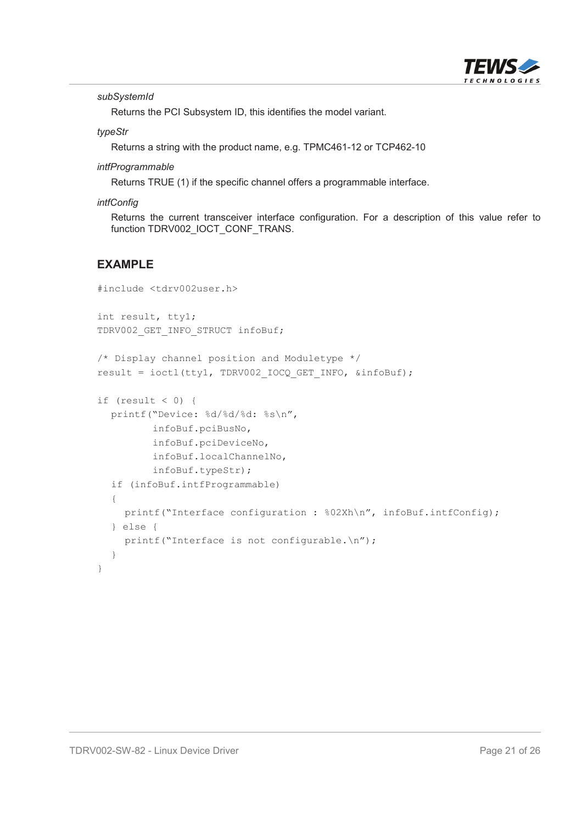

*subSystemId*

Returns the PCI Subsystem ID, this identifies the model variant.

*typeStr*

Returns a string with the product name, e.g. TPMC461-12 or TCP462-10

*intfProgrammable*

Returns TRUE (1) if the specific channel offers a programmable interface.

*intfConfig*

Returns the current transceiver interface configuration. For a description of this value refer to function TDRV002\_IOCT\_CONF\_TRANS.

```
#include <tdrv002user.h>
int result, tty1;
TDRV002 GET INFO STRUCT infoBuf;
/* Display channel position and Moduletype */
result = ioctl(tty1, TDRV002_IOCQ_GET_INFO, &infoBuf);
if (result < 0) {
  printf("Device: %d/%d/%d: %s\n",
         infoBuf.pciBusNo,
         infoBuf.pciDeviceNo,
         infoBuf.localChannelNo,
         infoBuf.typeStr);
  if (infoBuf.intfProgrammable)
  {
    printf("Interface configuration : %02Xh\n", infoBuf.intfConfig);
  } else {
    printf("Interface is not configurable.\n");
  }
}
```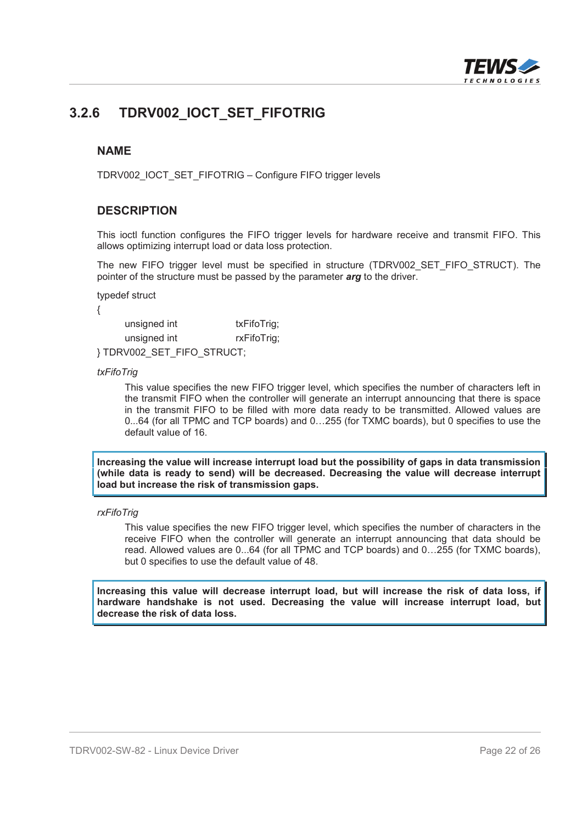

### **3.2.6 TDRV002\_IOCT\_SET\_FIFOTRIG**

#### **NAME**

TDRV002\_IOCT\_SET\_FIFOTRIG – Configure FIFO trigger levels

#### **DESCRIPTION**

This ioctl function configures the FIFO trigger levels for hardware receive and transmit FIFO. This allows optimizing interrupt load or data loss protection.

The new FIFO trigger level must be specified in structure (TDRV002 SET FIFO STRUCT). The pointer of the structure must be passed by the parameter *arg* to the driver.

typedef struct

{

| unsigned int              | txFifoTrig; |
|---------------------------|-------------|
| unsigned int              | rxFifoTrig; |
| }TDRV002_SET_FIFO_STRUCT; |             |

*txFifoTrig*

This value specifies the new FIFO trigger level, which specifies the number of characters left in the transmit FIFO when the controller will generate an interrupt announcing that there is space in the transmit FIFO to be filled with more data ready to be transmitted. Allowed values are 0...64 (for all TPMC and TCP boards) and 0…255 (for TXMC boards), but 0 specifies to use the default value of 16.

**Increasing the value will increase interrupt load but the possibility of gaps in data transmission (while data is ready to send) will be decreased. Decreasing the value will decrease interrupt load but increase the risk of transmission gaps.**

*rxFifoTrig*

This value specifies the new FIFO trigger level, which specifies the number of characters in the receive FIFO when the controller will generate an interrupt announcing that data should be read. Allowed values are 0...64 (for all TPMC and TCP boards) and 0…255 (for TXMC boards), but 0 specifies to use the default value of 48.

**Increasing this value will decrease interrupt load, but will increase the risk of data loss, if hardware handshake is not used. Decreasing the value will increase interrupt load, but decrease the risk of data loss.**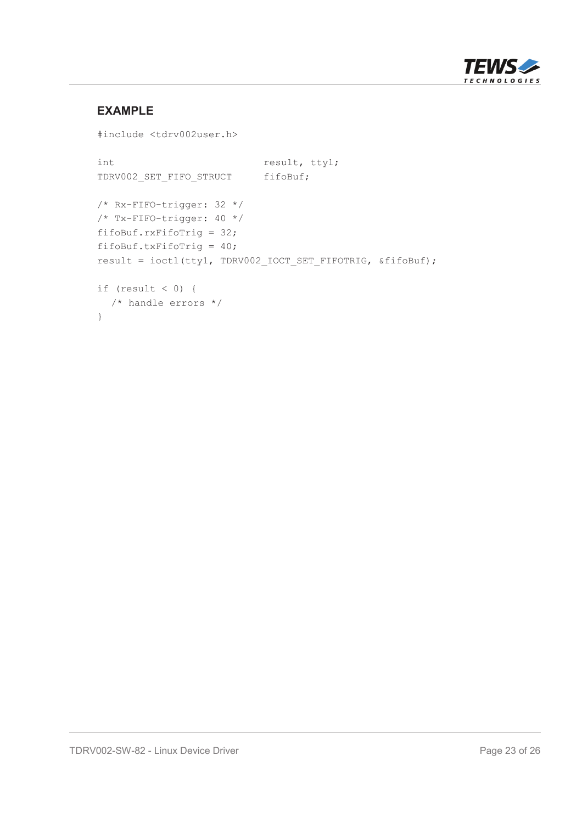

```
#include <tdrv002user.h>
int result, ttyl;
TDRV002 SET FIFO STRUCT fifoBuf;
/* Rx-FIFO-trigger: 32 */
/* Tx-FIFO-trigger: 40 */
fifoBuf.rxFifoTrig = 32;
fifoBuf.txFifoTrig = 40;
result = ioctl(tty1, TDRV002_IOCT_SET_FIFOTRIG, &fifoBuf);
if (result < 0) {
  /* handle errors */
}
```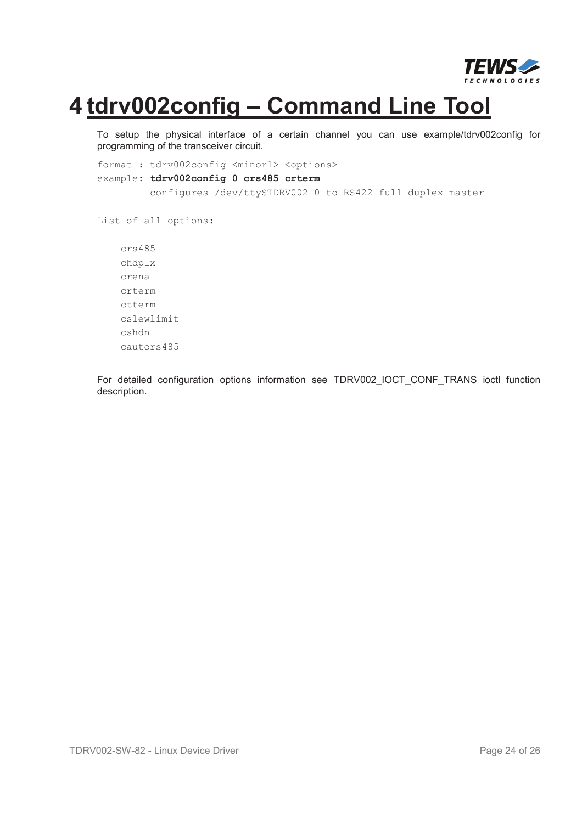

## **4 tdrv002config – Command Line Tool**

To setup the physical interface of a certain channel you can use example/tdrv002config for programming of the transceiver circuit.

```
format : tdrv002config <minor1> <options>
example: tdrv002config 0 crs485 crterm
         configures /dev/ttySTDRV002_0 to RS422 full duplex master
List of all options:
    crs485
    chdplx
    crena
    crterm
    ctterm
    cslewlimit
    cshdn
```
For detailed configuration options information see TDRV002 IOCT CONF TRANS ioctl function description.

cautors485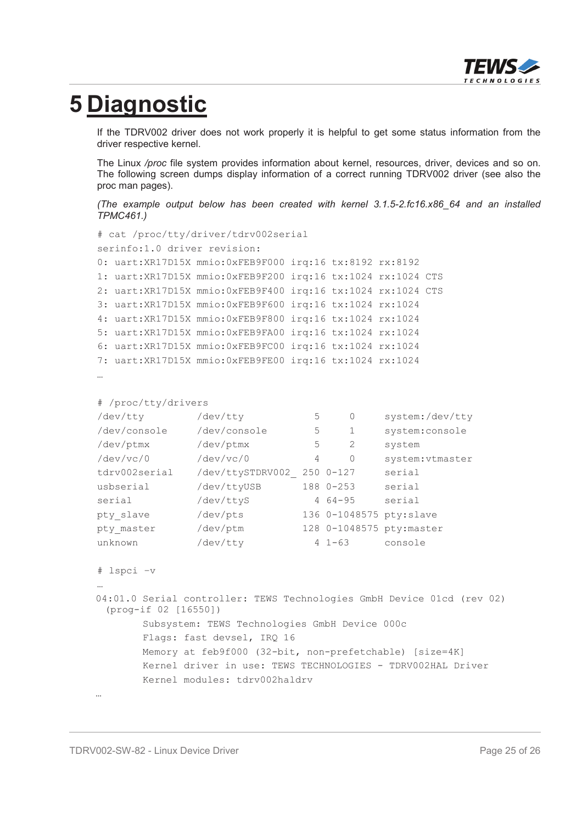

## **5 Diagnostic**

If the TDRV002 driver does not work properly it is helpful to get some status information from the driver respective kernel.

The Linux */proc* file system provides information about kernel, resources, driver, devices and so on. The following screen dumps display information of a correct running TDRV002 driver (see also the proc man pages).

*(The example output below has been created with kernel 3.1.5-2.fc16.x86\_64 and an installed TPMC461.)*

```
# cat /proc/tty/driver/tdrv002serial
serinfo:1.0 driver revision:
0: uart:XR17D15X mmio:0xFEB9F000 irq:16 tx:8192 rx:8192
1: uart:XR17D15X mmio:0xFEB9F200 irq:16 tx:1024 rx:1024 CTS
2: uart:XR17D15X mmio:0xFEB9F400 irq:16 tx:1024 rx:1024 CTS
3: uart:XR17D15X mmio:0xFEB9F600 irq:16 tx:1024 rx:1024
4: uart:XR17D15X mmio:0xFEB9F800 irq:16 tx:1024 rx:1024
5: uart:XR17D15X mmio:0xFEB9FA00 irq:16 tx:1024 rx:1024
6: uart:XR17D15X mmio:0xFEB9FC00 irq:16 tx:1024 rx:1024
7: uart:XR17D15X mmio:0xFEB9FE00 irq:16 tx:1024 rx:1024
…
# /proc/tty/drivers
/dev/tty /dev/tty 5 0 system:/dev/tty
/dev/console /dev/console 5 1 system:console
/dev/ptmx /dev/ptmx 5 2 system
/dev/vc/0 /dev/vc/0 4 0 system:vtmaster
tdrv002serial /dev/ttySTDRV002_ 250 0-127 serial
usbserial /dev/ttyUSB 188 0-253 serial
serial /dev/ttyS 4 64-95 serial
pty slave /dev/pts 136 0-1048575 pty:slave
pty_master /dev/ptm 128 0-1048575 pty:master
unknown /dev/tty 4 1-63 console
# lspci –v
…
04:01.0 Serial controller: TEWS Technologies GmbH Device 01cd (rev 02)
 (prog-if 02 [16550])
      Subsystem: TEWS Technologies GmbH Device 000c
      Flags: fast devsel, IRQ 16
      Memory at feb9f000 (32-bit, non-prefetchable) [size=4K]
```
Kernel driver in use: TEWS TECHNOLOGIES - TDRV002HAL Driver

…

Kernel modules: tdrv002haldrv